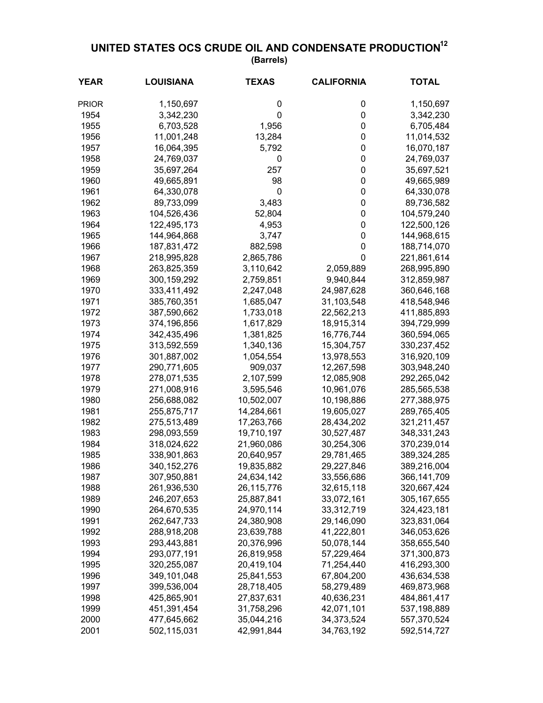## **UNITED STATES OCS CRUDE OIL AND CONDENSATE PRODUCTION12 (Barrels)**

| <b>YEAR</b>  | <b>LOUISIANA</b> | <b>TEXAS</b> | <b>CALIFORNIA</b> | <b>TOTAL</b>  |
|--------------|------------------|--------------|-------------------|---------------|
| <b>PRIOR</b> | 1,150,697        | 0            | 0                 | 1,150,697     |
| 1954         | 3,342,230        | $\mathbf 0$  | 0                 | 3,342,230     |
| 1955         | 6,703,528        | 1,956        | 0                 | 6,705,484     |
| 1956         | 11,001,248       | 13,284       | 0                 | 11,014,532    |
| 1957         | 16,064,395       | 5,792        | 0                 | 16,070,187    |
| 1958         | 24,769,037       | 0            | 0                 | 24,769,037    |
| 1959         | 35,697,264       | 257          | 0                 | 35,697,521    |
| 1960         | 49,665,891       | 98           | 0                 | 49,665,989    |
| 1961         | 64,330,078       | 0            | 0                 | 64,330,078    |
| 1962         | 89,733,099       | 3,483        | 0                 | 89,736,582    |
| 1963         | 104,526,436      | 52,804       | 0                 | 104,579,240   |
| 1964         | 122,495,173      | 4,953        | 0                 | 122,500,126   |
| 1965         | 144,964,868      | 3,747        | $\boldsymbol{0}$  | 144,968,615   |
| 1966         | 187,831,472      | 882,598      | $\boldsymbol{0}$  | 188,714,070   |
| 1967         | 218,995,828      | 2,865,786    | $\mathbf 0$       | 221,861,614   |
| 1968         | 263,825,359      | 3,110,642    | 2,059,889         | 268,995,890   |
| 1969         | 300,159,292      | 2,759,851    | 9,940,844         | 312,859,987   |
| 1970         | 333,411,492      | 2,247,048    | 24,987,628        | 360,646,168   |
| 1971         | 385,760,351      | 1,685,047    | 31,103,548        | 418,548,946   |
| 1972         | 387,590,662      | 1,733,018    | 22,562,213        | 411,885,893   |
| 1973         | 374,196,856      | 1,617,829    | 18,915,314        | 394,729,999   |
| 1974         | 342,435,496      | 1,381,825    | 16,776,744        | 360,594,065   |
| 1975         | 313,592,559      | 1,340,136    | 15,304,757        | 330,237,452   |
| 1976         | 301,887,002      | 1,054,554    | 13,978,553        | 316,920,109   |
| 1977         | 290,771,605      | 909,037      | 12,267,598        | 303,948,240   |
| 1978         | 278,071,535      | 2,107,599    | 12,085,908        | 292,265,042   |
| 1979         | 271,008,916      | 3,595,546    | 10,961,076        | 285,565,538   |
| 1980         | 256,688,082      | 10,502,007   | 10,198,886        | 277,388,975   |
| 1981         | 255,875,717      | 14,284,661   | 19,605,027        | 289,765,405   |
| 1982         | 275,513,489      | 17,263,766   | 28,434,202        | 321,211,457   |
| 1983         | 298,093,559      | 19,710,197   | 30,527,487        | 348, 331, 243 |
| 1984         | 318,024,622      | 21,960,086   | 30,254,306        | 370,239,014   |
| 1985         | 338,901,863      | 20,640,957   | 29,781,465        | 389,324,285   |
| 1986         | 340, 152, 276    | 19,835,882   | 29,227,846        | 389,216,004   |
| 1987         | 307,950,881      | 24,634,142   | 33,556,686        | 366, 141, 709 |
| 1988         | 261,936,530      | 26,115,776   | 32,615,118        | 320,667,424   |
| 1989         | 246,207,653      | 25,887,841   | 33,072,161        | 305, 167, 655 |
| 1990         | 264,670,535      | 24,970,114   | 33,312,719        | 324,423,181   |
| 1991         | 262,647,733      | 24,380,908   | 29,146,090        | 323,831,064   |
| 1992         | 288,918,208      | 23,639,788   | 41,222,801        | 346,053,626   |
| 1993         | 293,443,881      | 20,376,996   | 50,078,144        | 358,655,540   |
| 1994         | 293,077,191      | 26,819,958   | 57,229,464        | 371,300,873   |
| 1995         | 320,255,087      | 20,419,104   | 71,254,440        | 416,293,300   |
| 1996         | 349,101,048      | 25,841,553   | 67,804,200        | 436,634,538   |
| 1997         | 399,536,004      | 28,718,405   | 58,279,489        | 469,873,968   |
| 1998         | 425,865,901      | 27,837,631   | 40,636,231        | 484,861,417   |
| 1999         | 451,391,454      | 31,758,296   | 42,071,101        | 537,198,889   |
| 2000         | 477,645,662      | 35,044,216   | 34,373,524        | 557,370,524   |
| 2001         | 502,115,031      | 42,991,844   | 34,763,192        | 592,514,727   |